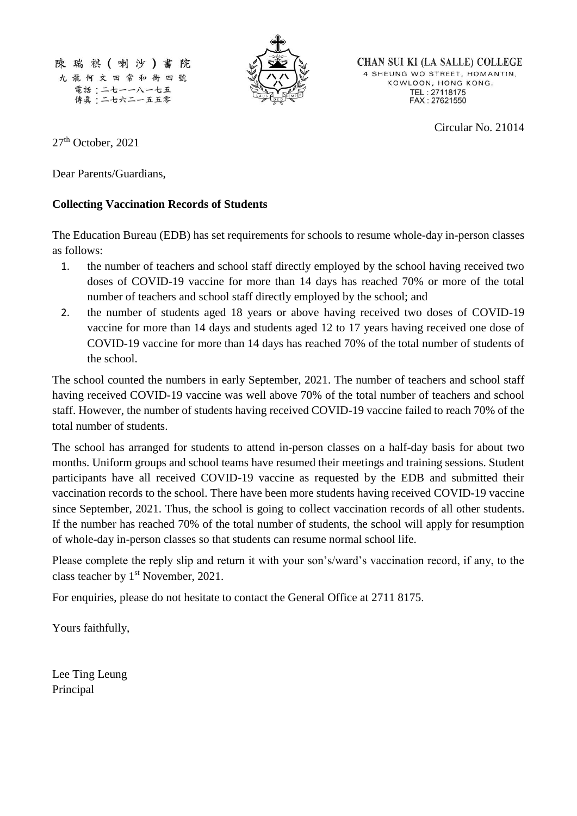陳瑞祺(喇沙)書 院 九龍何文田常和街四號 電話:二七一一八一七五 傳眞:二七六二一五五零



**CHAN SUI KI (LA SALLE) COLLEGE** 4 SHEUNG WO STREET, HOMANTIN, KOWLOON, HONG KONG. TEL: 27118175<br>FAX: 27621550

Circular No. 21014

27<sup>th</sup> October, 2021

Dear Parents/Guardians,

## **Collecting Vaccination Records of Students**

The Education Bureau (EDB) has set requirements for schools to resume whole-day in-person classes as follows:

- 1. the number of teachers and school staff directly employed by the school having received two doses of COVID-19 vaccine for more than 14 days has reached 70% or more of the total number of teachers and school staff directly employed by the school; and
- 2. the number of students aged 18 years or above having received two doses of COVID-19 vaccine for more than 14 days and students aged 12 to 17 years having received one dose of COVID-19 vaccine for more than 14 days has reached 70% of the total number of students of the school.

The school counted the numbers in early September, 2021. The number of teachers and school staff having received COVID-19 vaccine was well above 70% of the total number of teachers and school staff. However, the number of students having received COVID-19 vaccine failed to reach 70% of the total number of students.

The school has arranged for students to attend in-person classes on a half-day basis for about two months. Uniform groups and school teams have resumed their meetings and training sessions. Student participants have all received COVID-19 vaccine as requested by the EDB and submitted their vaccination records to the school. There have been more students having received COVID-19 vaccine since September, 2021. Thus, the school is going to collect vaccination records of all other students. If the number has reached 70% of the total number of students, the school will apply for resumption of whole-day in-person classes so that students can resume normal school life.

Please complete the reply slip and return it with your son's/ward's vaccination record, if any, to the class teacher by 1<sup>st</sup> November, 2021.

For enquiries, please do not hesitate to contact the General Office at 2711 8175.

Yours faithfully,

Lee Ting Leung Principal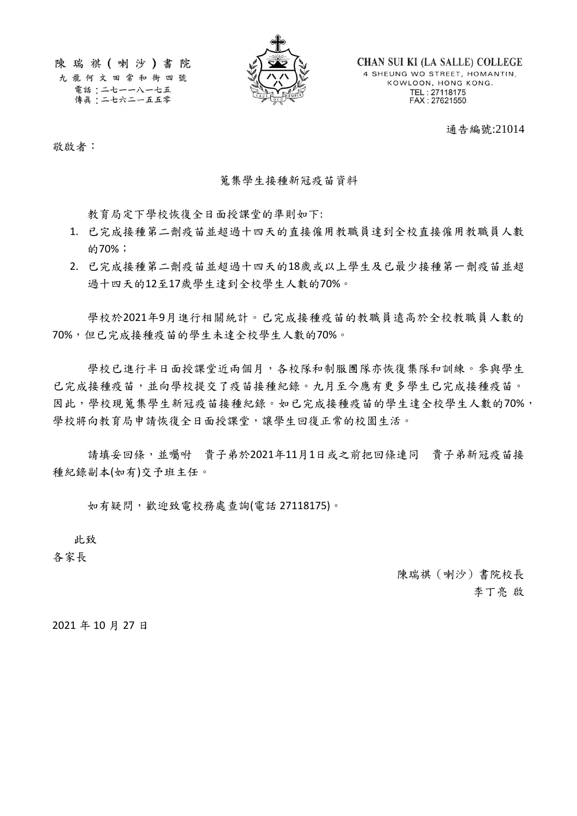陳瑞祺(喇沙)書院

九龍何文田常和街四號 電話:二七一一八一七五 傳眞:二七六二一五五零



**CHAN SUI KI (LA SALLE) COLLEGE** 4 SHEUNG WO STREET, HOMANTIN, KOWLOON, HONG KONG. TEL: 27118175<br>FAX: 27621550

通告編號:21014

敬啟者:

## 蒐集學生接種新冠疫苗資料

教育局定下學校恢復全日面授課堂的準則如下:

- 1. 已完成接種第二劑疫苗並超過十四天的直接僱用教職員達到全校直接僱用教職員人數 的70%;
- 2. 已完成接種第二劑疫苗並超過十四天的18歲或以上學生及已最少接種第一劑疫苗並超 過十四天的12至17歲學生達到全校學生人數的70%。

學校於2021年9月進行相關統計。已完成接種疫苗的教職員遠高於全校教職員人數的 70%,但已完成接種疫苗的學生未達全校學生人數的70%。

學校已進行半日面授課堂近兩個月,各校隊和制服團隊亦恢復集隊和訓練。參與學生 已完成接種疫苗,並向學校提交了疫苗接種紀錄。九月至今應有更多學生已完成接種疫苗。 因此,學校現蒐集學生新冠疫苗接種紀錄。如已完成接種疫苗的學生達全校學生人數的70%, 學校將向教育局申請恢復全日面授課堂,讓學生回復正常的校園生活。

請填妥回條,並囑咐 貴子弟於2021年11月1日或之前把回條連同 貴子弟新冠疫苗接 種紀錄副本(如有)交予班主任。

如有疑問,歡迎致電校務處查詢(電話 27118175)。

此致

各家長

陳瑞祺(喇沙)書院校長 李丁亮 啟

2021 年 10 月 27 日